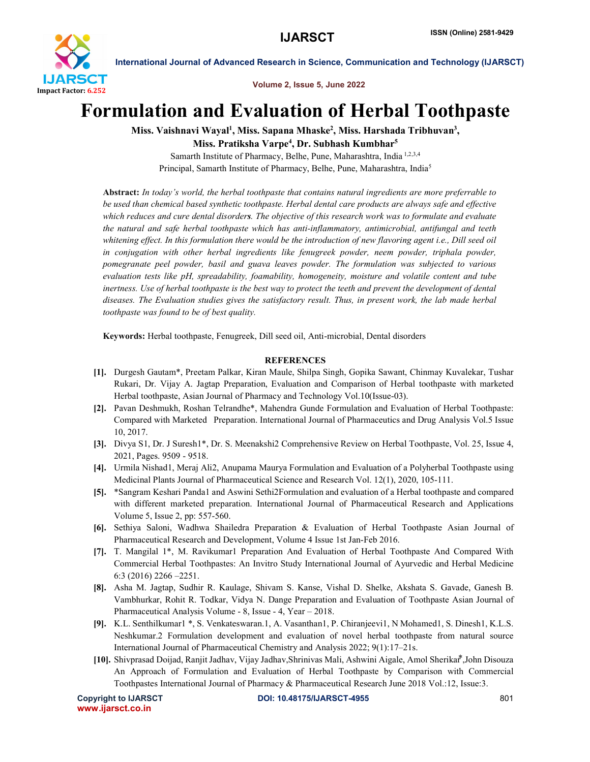

International Journal of Advanced Research in Science, Communication and Technology (IJARSCT)

Volume 2, Issue 5, June 2022

## Formulation and Evaluation of Herbal Toothpaste

Miss. Vaishnavi Wayal<sup>1</sup>, Miss. Sapana Mhaske<sup>2</sup>, Miss. Harshada Tribhuvan<sup>3</sup>, Miss. Pratiksha Varpe<sup>4</sup>, Dr. Subhash Kumbhar<sup>5</sup>

Samarth Institute of Pharmacy, Belhe, Pune, Maharashtra, India 1,2,3,4 Principal, Samarth Institute of Pharmacy, Belhe, Pune, Maharashtra, India5

Abstract: *In today's world, the herbal toothpaste that contains natural ingredients are more preferrable to be used than chemical based synthetic toothpaste. Herbal dental care products are always safe and effective which reduces and cure dental disorders. The objective of this research work was to formulate and evaluate the natural and safe herbal toothpaste which has anti-inflammatory, antimicrobial, antifungal and teeth whitening effect. In this formulation there would be the introduction of new flavoring agent i.e., Dill seed oil in conjugation with other herbal ingredients like fenugreek powder, neem powder, triphala powder, pomegranate peel powder, basil and guava leaves powder. The formulation was subjected to various evaluation tests like pH, spreadability, foamability, homogeneity, moisture and volatile content and tube inertness. Use of herbal toothpaste is the best way to protect the teeth and prevent the development of dental diseases. The Evaluation studies gives the satisfactory result. Thus, in present work, the lab made herbal toothpaste was found to be of best quality.*

Keywords: Herbal toothpaste, Fenugreek, Dill seed oil, Anti-microbial, Dental disorders

## **REFERENCES**

- [1]. Durgesh Gautam\*, Preetam Palkar, Kiran Maule, Shilpa Singh, Gopika Sawant, Chinmay Kuvalekar, Tushar Rukari, Dr. Vijay A. Jagtap Preparation, Evaluation and Comparison of Herbal toothpaste with marketed Herbal toothpaste, Asian Journal of Pharmacy and Technology Vol.10(Issue-03).
- [2]. Pavan Deshmukh, Roshan Telrandhe\*, Mahendra Gunde Formulation and Evaluation of Herbal Toothpaste: Compared with Marketed Preparation. International Journal of Pharmaceutics and Drug Analysis Vol.5 Issue 10, 2017.
- [3]. Divya S1, Dr. J Suresh1\*, Dr. S. Meenakshi2 Comprehensive Review on Herbal Toothpaste, Vol. 25, Issue 4, 2021, Pages. 9509 - 9518.
- [4]. Urmila Nishad1, Meraj Ali2, Anupama Maurya Formulation and Evaluation of a Polyherbal Toothpaste using Medicinal Plants Journal of Pharmaceutical Science and Research Vol. 12(1), 2020, 105-111.
- [5]. \*Sangram Keshari Panda1 and Aswini Sethi2Formulation and evaluation of a Herbal toothpaste and compared with different marketed preparation. International Journal of Pharmaceutical Research and Applications Volume 5, Issue 2, pp: 557-560.
- [6]. Sethiya Saloni, Wadhwa Shailedra Preparation & Evaluation of Herbal Toothpaste Asian Journal of Pharmaceutical Research and Development, Volume 4 Issue 1st Jan-Feb 2016.
- [7]. T. Mangilal 1\*, M. Ravikumar1 Preparation And Evaluation of Herbal Toothpaste And Compared With Commercial Herbal Toothpastes: An Invitro Study International Journal of Ayurvedic and Herbal Medicine 6:3 (2016) 2266 –2251.
- [8]. Asha M. Jagtap, Sudhir R. Kaulage, Shivam S. Kanse, Vishal D. Shelke, Akshata S. Gavade, Ganesh B. Vambhurkar, Rohit R. Todkar, Vidya N. Dange Preparation and Evaluation of Toothpaste Asian Journal of Pharmaceutical Analysis Volume - 8, Issue - 4, Year – 2018.
- [9]. K.L. Senthilkumar1 \*, S. Venkateswaran.1, A. Vasanthan1, P. Chiranjeevi1, N Mohamed1, S. Dinesh1, K.L.S. Neshkumar.2 Formulation development and evaluation of novel herbal toothpaste from natural source International Journal of Pharmaceutical Chemistry and Analysis 2022; 9(1):17–21s.
- [10]. Shivprasad Doijad, Ranjit Jadhav, Vijay Jadhav,Shrinivas Mali, Ashwini Aigale, Amol Sherikar⃰ ,John Disouza An Approach of Formulation and Evaluation of Herbal Toothpaste by Comparison with Commercial Toothpastes International Journal of Pharmacy & Pharmaceutical Research June 2018 Vol.:12, Issue:3.